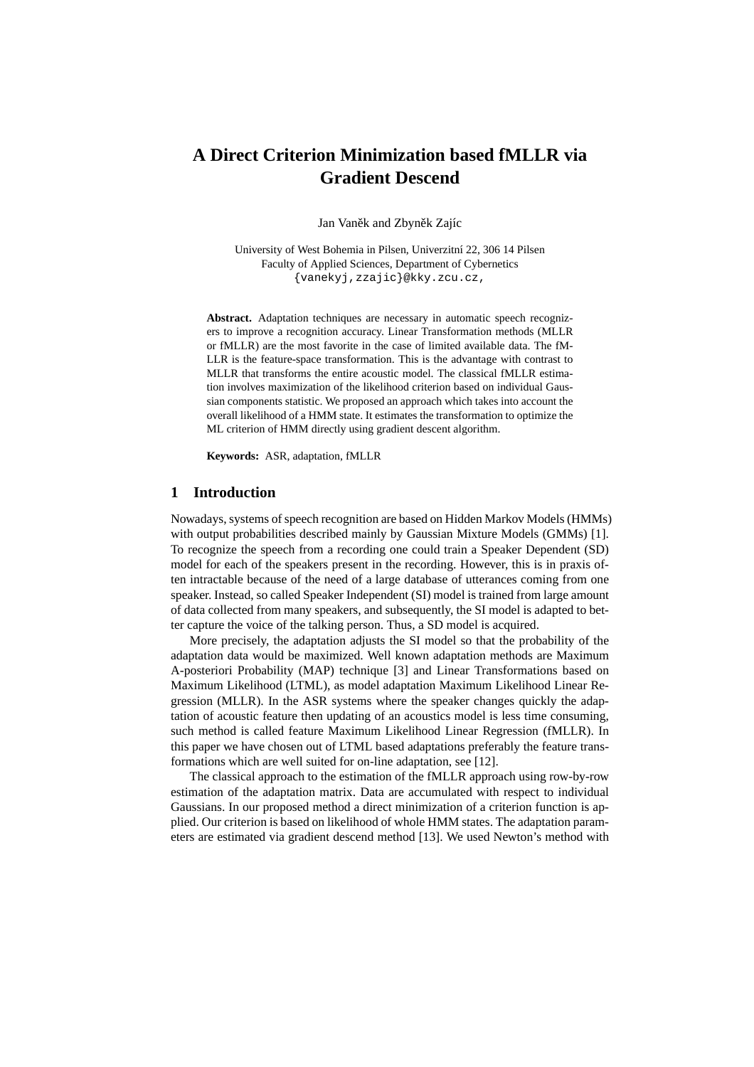# **A Direct Criterion Minimization based fMLLR via Gradient Descend**

Jan Vaněk and Zbyněk Zajíc

University of West Bohemia in Pilsen, Univerzitní 22, 306 14 Pilsen Faculty of Applied Sciences, Department of Cybernetics {vanekyj,zzajic}@kky.zcu.cz,

**Abstract.** Adaptation techniques are necessary in automatic speech recognizers to improve a recognition accuracy. Linear Transformation methods (MLLR or fMLLR) are the most favorite in the case of limited available data. The fM-LLR is the feature-space transformation. This is the advantage with contrast to MLLR that transforms the entire acoustic model. The classical fMLLR estimation involves maximization of the likelihood criterion based on individual Gaussian components statistic. We proposed an approach which takes into account the overall likelihood of a HMM state. It estimates the transformation to optimize the ML criterion of HMM directly using gradient descent algorithm.

**Keywords:** ASR, adaptation, fMLLR

# **1 Introduction**

Nowadays, systems of speech recognition are based on Hidden Markov Models (HMMs) with output probabilities described mainly by Gaussian Mixture Models (GMMs) [1]. To recognize the speech from a recording one could train a Speaker Dependent (SD) model for each of the speakers present in the recording. However, this is in praxis often intractable because of the need of a large database of utterances coming from one speaker. Instead, so called Speaker Independent (SI) model is trained from large amount of data collected from many speakers, and subsequently, the SI model is adapted to better capture the voice of the talking person. Thus, a SD model is acquired.

More precisely, the adaptation adjusts the SI model so that the probability of the adaptation data would be maximized. Well known adaptation methods are Maximum A-posteriori Probability (MAP) technique [3] and Linear Transformations based on Maximum Likelihood (LTML), as model adaptation Maximum Likelihood Linear Regression (MLLR). In the ASR systems where the speaker changes quickly the adaptation of acoustic feature then updating of an acoustics model is less time consuming, such method is called feature Maximum Likelihood Linear Regression (fMLLR). In this paper we have chosen out of LTML based adaptations preferably the feature transformations which are well suited for on-line adaptation, see [12].

The classical approach to the estimation of the fMLLR approach using row-by-row estimation of the adaptation matrix. Data are accumulated with respect to individual Gaussians. In our proposed method a direct minimization of a criterion function is applied. Our criterion is based on likelihood of whole HMM states. The adaptation parameters are estimated via gradient descend method [13]. We used Newton's method with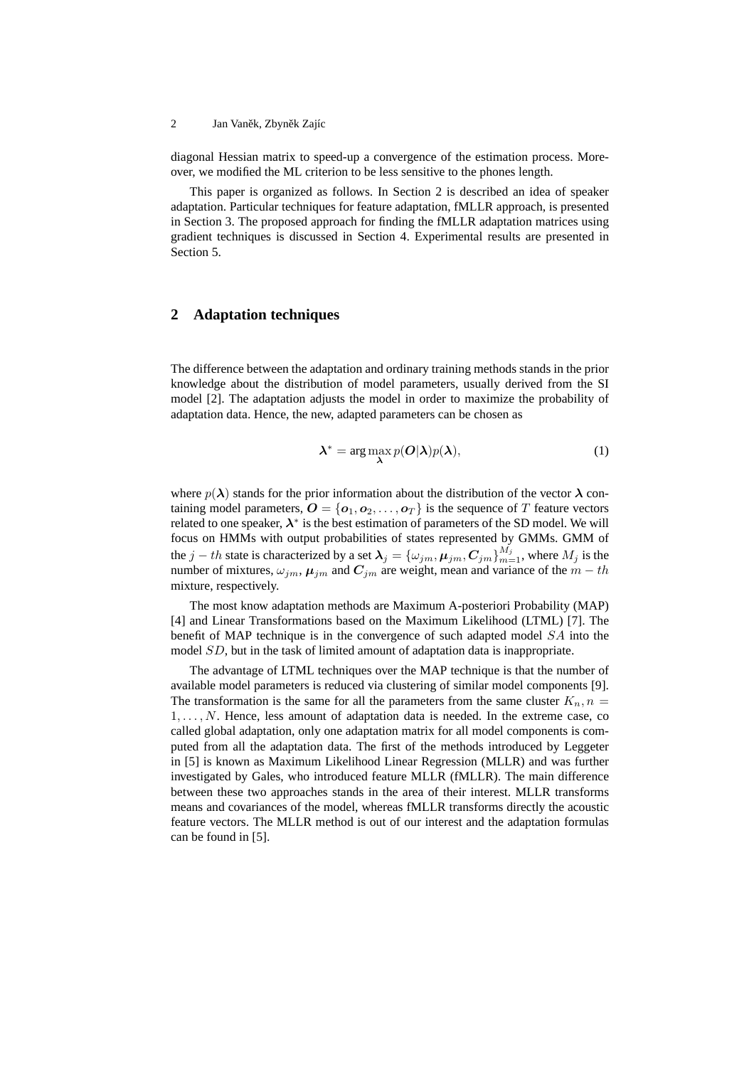diagonal Hessian matrix to speed-up a convergence of the estimation process. Moreover, we modified the ML criterion to be less sensitive to the phones length.

This paper is organized as follows. In Section 2 is described an idea of speaker adaptation. Particular techniques for feature adaptation, fMLLR approach, is presented in Section 3. The proposed approach for finding the fMLLR adaptation matrices using gradient techniques is discussed in Section 4. Experimental results are presented in Section 5.

# **2 Adaptation techniques**

The difference between the adaptation and ordinary training methods stands in the prior knowledge about the distribution of model parameters, usually derived from the SI model [2]. The adaptation adjusts the model in order to maximize the probability of adaptation data. Hence, the new, adapted parameters can be chosen as

$$
\lambda^* = \arg\max_{\lambda} p(O|\lambda)p(\lambda), \tag{1}
$$

where  $p(\lambda)$  stands for the prior information about the distribution of the vector  $\lambda$  containing model parameters,  $\mathbf{O} = \{o_1, o_2, \ldots, o_T\}$  is the sequence of T feature vectors related to one speaker,  $\lambda^*$  is the best estimation of parameters of the SD model. We will focus on HMMs with output probabilities of states represented by GMMs. GMM of the  $j-th$  state is characterized by a set  $\bm{\lambda}_j = \{\omega_{jm}, \bm{\mu}_{jm}, \bm{C}_{jm}\}_{m=1}^{M_j}$ , where  $M_j$  is the number of mixtures,  $\omega_{jm}$ ,  $\mu_{jm}$  and  $C_{jm}$  are weight, mean and variance of the  $m-th$ mixture, respectively.

The most know adaptation methods are Maximum A-posteriori Probability (MAP) [4] and Linear Transformations based on the Maximum Likelihood (LTML) [7]. The benefit of MAP technique is in the convergence of such adapted model SA into the model SD, but in the task of limited amount of adaptation data is inappropriate.

The advantage of LTML techniques over the MAP technique is that the number of available model parameters is reduced via clustering of similar model components [9]. The transformation is the same for all the parameters from the same cluster  $K_n$ ,  $n =$  $1, \ldots, N$ . Hence, less amount of adaptation data is needed. In the extreme case, co called global adaptation, only one adaptation matrix for all model components is computed from all the adaptation data. The first of the methods introduced by Leggeter in [5] is known as Maximum Likelihood Linear Regression (MLLR) and was further investigated by Gales, who introduced feature MLLR (fMLLR). The main difference between these two approaches stands in the area of their interest. MLLR transforms means and covariances of the model, whereas fMLLR transforms directly the acoustic feature vectors. The MLLR method is out of our interest and the adaptation formulas can be found in [5].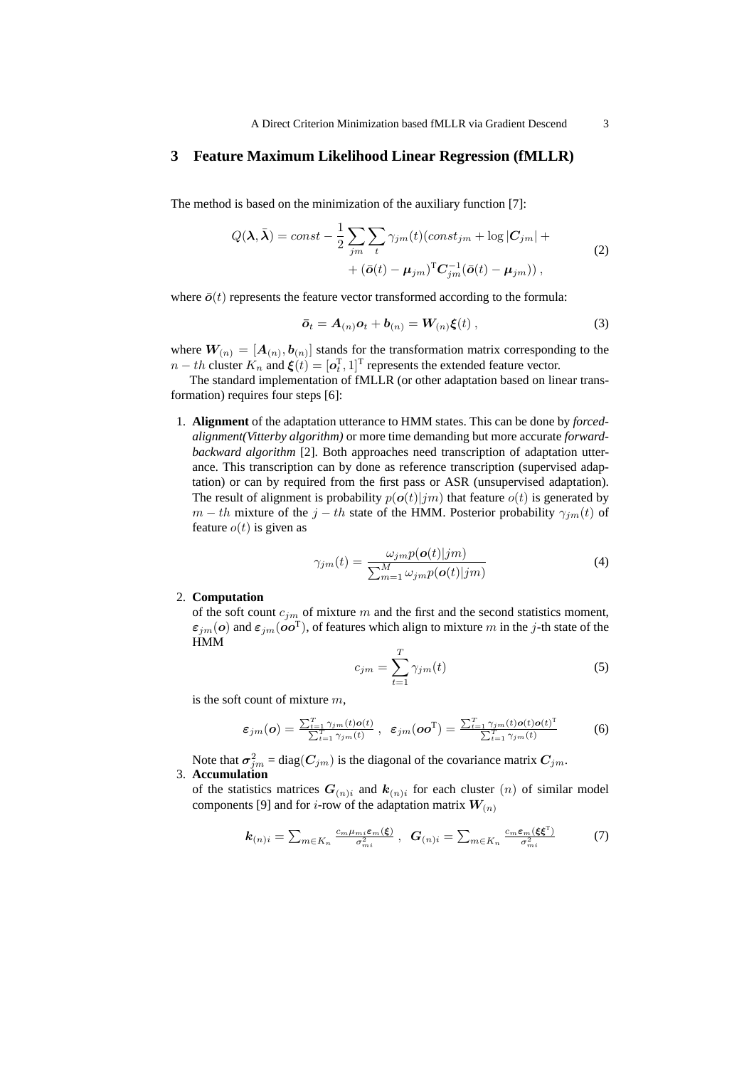## **3 Feature Maximum Likelihood Linear Regression (fMLLR)**

The method is based on the minimization of the auxiliary function [7]:

$$
Q(\lambda, \bar{\lambda}) = const - \frac{1}{2} \sum_{jm} \sum_{t} \gamma_{jm}(t) (const_{jm} + \log |C_{jm}| +
$$
  
+  $(\bar{\mathbf{o}}(t) - \mu_{jm})^{\mathrm{T}} \mathbf{C}_{jm}^{-1} (\bar{\mathbf{o}}(t) - \mu_{jm}))$ , (2)

where  $\bar{\mathbf{o}}(t)$  represents the feature vector transformed according to the formula:

$$
\bar{\boldsymbol{o}}_t = \boldsymbol{A}_{(n)} \boldsymbol{o}_t + \boldsymbol{b}_{(n)} = \boldsymbol{W}_{(n)} \boldsymbol{\xi}(t) ,
$$
\n(3)

where  $W_{(n)} = [A_{(n)}, b_{(n)}]$  stands for the transformation matrix corresponding to the  $n-th$  cluster  $K_n$  and  $\boldsymbol{\xi}(t) = [\boldsymbol{o}_t^{\mathrm{T}}, 1]^{\mathrm{T}}$  represents the extended feature vector.

The standard implementation of fMLLR (or other adaptation based on linear transformation) requires four steps [6]:

1. **Alignment** of the adaptation utterance to HMM states. This can be done by *forcedalignment(Vitterby algorithm)* or more time demanding but more accurate *forwardbackward algorithm* [2]. Both approaches need transcription of adaptation utterance. This transcription can by done as reference transcription (supervised adaptation) or can by required from the first pass or ASR (unsupervised adaptation). The result of alignment is probability  $p(\boldsymbol{o}(t)|jm)$  that feature  $o(t)$  is generated by  $m - th$  mixture of the  $j - th$  state of the HMM. Posterior probability  $\gamma_{jm}(t)$  of feature  $o(t)$  is given as

$$
\gamma_{jm}(t) = \frac{\omega_{jm} p(o(t)|jm)}{\sum_{m=1}^{M} \omega_{jm} p(o(t)|jm)}\tag{4}
$$

## 2. **Computation**

of the soft count  $c_{jm}$  of mixture m and the first and the second statistics moment,  $\varepsilon_{jm}({\bm{o}})$  and  $\varepsilon_{jm}({\bm{o}}\sigma^{\text{T}})$ , of features which align to mixture  $m$  in the j-th state of the HMM

$$
c_{jm} = \sum_{t=1}^{T} \gamma_{jm}(t)
$$
 (5)

is the soft count of mixture  $m$ ,

$$
\varepsilon_{jm}(\boldsymbol{o}) = \frac{\sum_{t=1}^{T} \gamma_{jm}(t) o(t)}{\sum_{t=1}^{T} \gamma_{jm}(t)}, \ \ \varepsilon_{jm}(\boldsymbol{o}\boldsymbol{o}^{\mathrm{T}}) = \frac{\sum_{t=1}^{T} \gamma_{jm}(t) o(t) o(t)^{\mathrm{T}}}{\sum_{t=1}^{T} \gamma_{jm}(t)}
$$
(6)

Note that  $\sigma_{jm}^2 = \text{diag}(C_{jm})$  is the diagonal of the covariance matrix  $C_{jm}$ . 3. **Accumulation**

of the statistics matrices  $G_{(n)i}$  and  $k_{(n)i}$  for each cluster  $(n)$  of similar model components [9] and for *i*-row of the adaptation matrix  $W_{(n)}$ 

$$
\boldsymbol{k}_{(n)i} = \sum_{m \in K_n} \frac{c_m \mu_{mi} \varepsilon_m(\boldsymbol{\xi})}{\sigma_{mi}^2}, \quad \boldsymbol{G}_{(n)i} = \sum_{m \in K_n} \frac{c_m \varepsilon_m(\boldsymbol{\xi} \boldsymbol{\xi}^T)}{\sigma_{mi}^2}
$$
(7)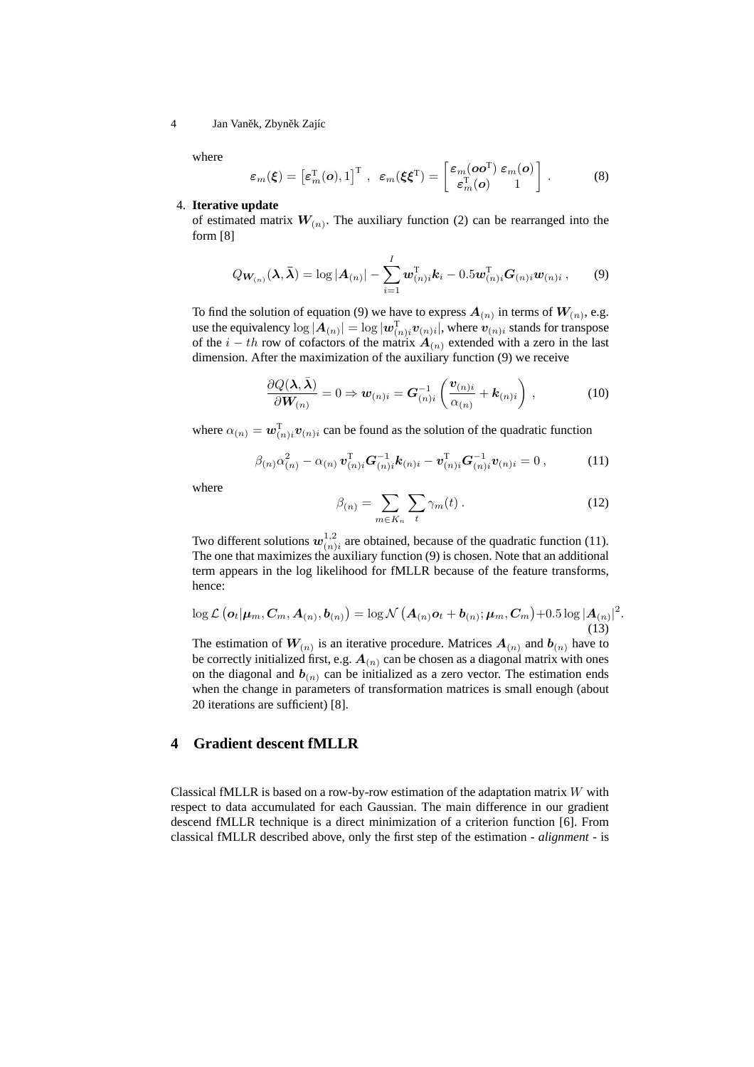where

$$
\varepsilon_m(\boldsymbol{\xi}) = \left[\varepsilon_m^{\mathrm{T}}(\boldsymbol{o}), 1\right]^{\mathrm{T}}, \ \ \varepsilon_m(\boldsymbol{\xi}\boldsymbol{\xi}^{\mathrm{T}}) = \begin{bmatrix} \varepsilon_m(\boldsymbol{o}\boldsymbol{o}^{\mathrm{T}}) \ \varepsilon_m(\boldsymbol{o}) \\ \varepsilon_m^{\mathrm{T}}(\boldsymbol{o}) & 1 \end{bmatrix} . \tag{8}
$$

## 4. **Iterative update**

of estimated matrix  $W_{(n)}$ . The auxiliary function (2) can be rearranged into the form [8]

$$
Q_{\boldsymbol{W}_{(n)}}(\boldsymbol{\lambda},\boldsymbol{\bar{\lambda}})=\log|\boldsymbol{A}_{(n)}|-\sum_{i=1}^I\boldsymbol{w}_{(n)i}^{\mathrm{T}}\boldsymbol{k}_i-0.5\boldsymbol{w}_{(n)i}^{\mathrm{T}}\boldsymbol{G}_{(n)i}\boldsymbol{w}_{(n)i},\qquad(9)
$$

To find the solution of equation (9) we have to express  $A_{(n)}$  in terms of  $W_{(n)}$ , e.g. use the equivalency  $\log |A_{(n)}| = \log |w_{(n)i}^{\mathrm{T}} v_{(n)i}|,$  where  $v_{(n)i}$  stands for transpose of the  $i - th$  row of cofactors of the matrix  $A_{(n)}$  extended with a zero in the last dimension. After the maximization of the auxiliary function (9) we receive

$$
\frac{\partial Q(\mathbf{\lambda},\bar{\mathbf{\lambda}})}{\partial \mathbf{W}_{(n)}}=0 \Rightarrow \mathbf{w}_{(n)i} = \mathbf{G}_{(n)i}^{-1}\left(\frac{\mathbf{v}_{(n)i}}{\alpha_{(n)}} + \mathbf{k}_{(n)i}\right), \qquad (10)
$$

where  $\alpha_{(n)} = \boldsymbol{w}_{(n)i}^{\mathrm{T}} \boldsymbol{v}_{(n)i}$  can be found as the solution of the quadratic function

$$
\beta_{(n)} \alpha_{(n)}^2 - \alpha_{(n)} \, \mathbf{v}_{(n)i}^{\mathrm{T}} \mathbf{G}_{(n)i}^{-1} \mathbf{k}_{(n)i} - \mathbf{v}_{(n)i}^{\mathrm{T}} \mathbf{G}_{(n)i}^{-1} \mathbf{v}_{(n)i} = 0 \,, \tag{11}
$$

where

$$
\beta_{(n)} = \sum_{m \in K_n} \sum_t \gamma_m(t) \,. \tag{12}
$$

Two different solutions  $w_{(n)}^{1,2}$  $\binom{1,2}{(n)i}$  are obtained, because of the quadratic function (11). The one that maximizes the auxiliary function  $(9)$  is chosen. Note that an additional term appears in the log likelihood for fMLLR because of the feature transforms, hence:

$$
\log \mathcal{L}\left(\boldsymbol{o}_{t}|\boldsymbol{\mu}_{m},\boldsymbol{C}_{m},\boldsymbol{A}_{(n)},\boldsymbol{b}_{(n)}\right)=\log \mathcal{N}\left(\boldsymbol{A}_{(n)}\boldsymbol{o}_{t}+\boldsymbol{b}_{(n)};\boldsymbol{\mu}_{m},\boldsymbol{C}_{m}\right)+0.5\log|\boldsymbol{A}_{(n)}|^{2}.
$$
\n(13)

The estimation of  $W_{(n)}$  is an iterative procedure. Matrices  $A_{(n)}$  and  $b_{(n)}$  have to be correctly initialized first, e.g.  $A_{(n)}$  can be chosen as a diagonal matrix with ones on the diagonal and  $\mathbf{b}_{(n)}$  can be initialized as a zero vector. The estimation ends when the change in parameters of transformation matrices is small enough (about 20 iterations are sufficient) [8].

# **4 Gradient descent fMLLR**

Classical fMLLR is based on a row-by-row estimation of the adaptation matrix  $W$  with respect to data accumulated for each Gaussian. The main difference in our gradient descend fMLLR technique is a direct minimization of a criterion function [6]. From classical fMLLR described above, only the first step of the estimation - *alignment* - is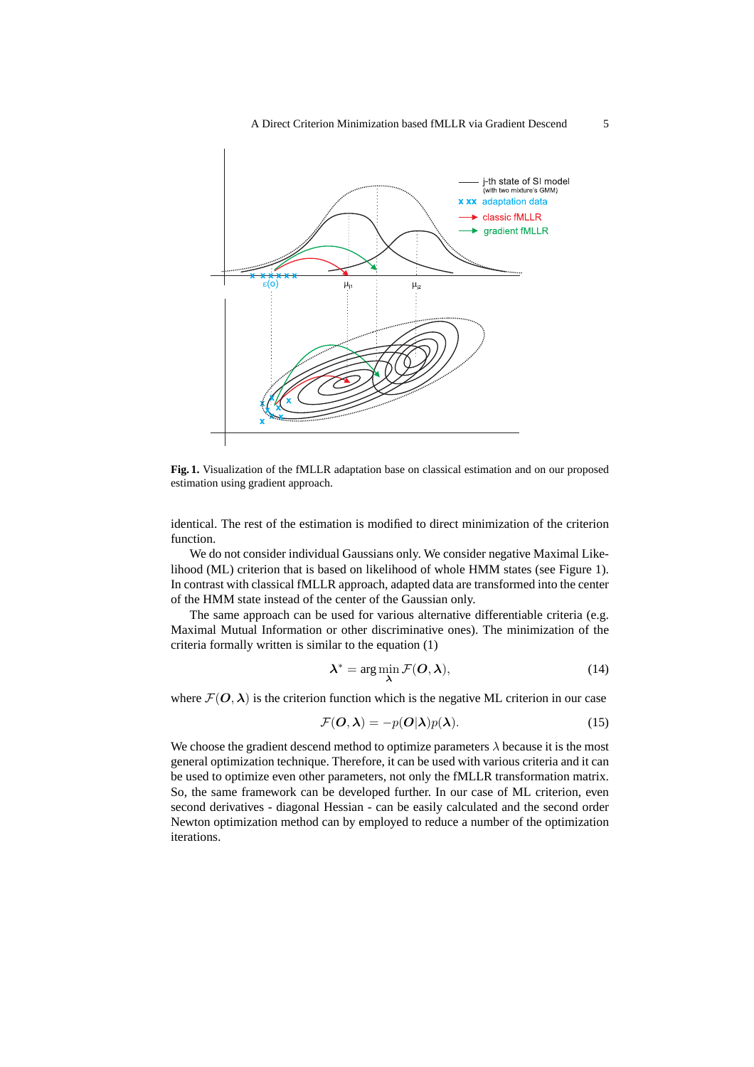

**Fig. 1.** Visualization of the fMLLR adaptation base on classical estimation and on our proposed estimation using gradient approach.

identical. The rest of the estimation is modified to direct minimization of the criterion function.

We do not consider individual Gaussians only. We consider negative Maximal Likelihood (ML) criterion that is based on likelihood of whole HMM states (see Figure 1). In contrast with classical fMLLR approach, adapted data are transformed into the center of the HMM state instead of the center of the Gaussian only.

The same approach can be used for various alternative differentiable criteria (e.g. Maximal Mutual Information or other discriminative ones). The minimization of the criteria formally written is similar to the equation (1)

$$
\lambda^* = \arg\min_{\lambda} \mathcal{F}(O, \lambda),\tag{14}
$$

where  $\mathcal{F}(O,\lambda)$  is the criterion function which is the negative ML criterion in our case

$$
\mathcal{F}(\boldsymbol{O},\boldsymbol{\lambda})=-p(\boldsymbol{O}|\boldsymbol{\lambda})p(\boldsymbol{\lambda}).
$$
\n(15)

We choose the gradient descend method to optimize parameters  $\lambda$  because it is the most general optimization technique. Therefore, it can be used with various criteria and it can be used to optimize even other parameters, not only the fMLLR transformation matrix. So, the same framework can be developed further. In our case of ML criterion, even second derivatives - diagonal Hessian - can be easily calculated and the second order Newton optimization method can by employed to reduce a number of the optimization iterations.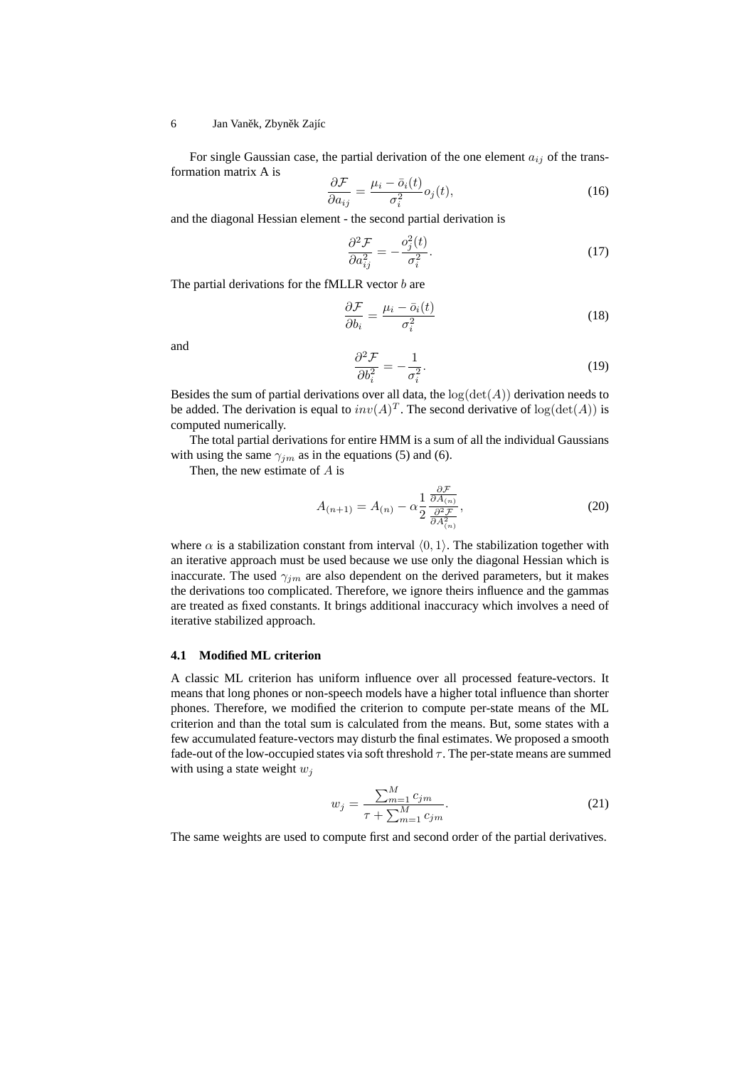For single Gaussian case, the partial derivation of the one element  $a_{ij}$  of the transformation matrix A is

$$
\frac{\partial \mathcal{F}}{\partial a_{ij}} = \frac{\mu_i - \bar{o}_i(t)}{\sigma_i^2} o_j(t),\tag{16}
$$

and the diagonal Hessian element - the second partial derivation is

$$
\frac{\partial^2 \mathcal{F}}{\partial a_{ij}^2} = -\frac{o_j^2(t)}{\sigma_i^2}.
$$
 (17)

The partial derivations for the fMLLR vector  $b$  are

$$
\frac{\partial \mathcal{F}}{\partial b_i} = \frac{\mu_i - \bar{o}_i(t)}{\sigma_i^2} \tag{18}
$$

and

$$
\frac{\partial^2 \mathcal{F}}{\partial b_i^2} = -\frac{1}{\sigma_i^2}.\tag{19}
$$

Besides the sum of partial derivations over all data, the  $log(det(A))$  derivation needs to be added. The derivation is equal to  $inv(A)^T$ . The second derivative of  $log(det(A))$  is computed numerically.

The total partial derivations for entire HMM is a sum of all the individual Gaussians with using the same  $\gamma_{jm}$  as in the equations (5) and (6).

Then, the new estimate of  $A$  is

$$
A_{(n+1)} = A_{(n)} - \alpha \frac{1}{2} \frac{\frac{\partial \mathcal{F}}{\partial A_{(n)}}}{\frac{\partial^2 \mathcal{F}}{\partial A_{(n)}^2}},
$$
\n(20)

where  $\alpha$  is a stabilization constant from interval  $(0, 1)$ . The stabilization together with an iterative approach must be used because we use only the diagonal Hessian which is inaccurate. The used  $\gamma_{im}$  are also dependent on the derived parameters, but it makes the derivations too complicated. Therefore, we ignore theirs influence and the gammas are treated as fixed constants. It brings additional inaccuracy which involves a need of iterative stabilized approach.

#### **4.1 Modified ML criterion**

A classic ML criterion has uniform influence over all processed feature-vectors. It means that long phones or non-speech models have a higher total influence than shorter phones. Therefore, we modified the criterion to compute per-state means of the ML criterion and than the total sum is calculated from the means. But, some states with a few accumulated feature-vectors may disturb the final estimates. We proposed a smooth fade-out of the low-occupied states via soft threshold  $\tau$ . The per-state means are summed with using a state weight  $w_i$ 

$$
w_j = \frac{\sum_{m=1}^{M} c_{jm}}{\tau + \sum_{m=1}^{M} c_{jm}}.
$$
\n(21)

The same weights are used to compute first and second order of the partial derivatives.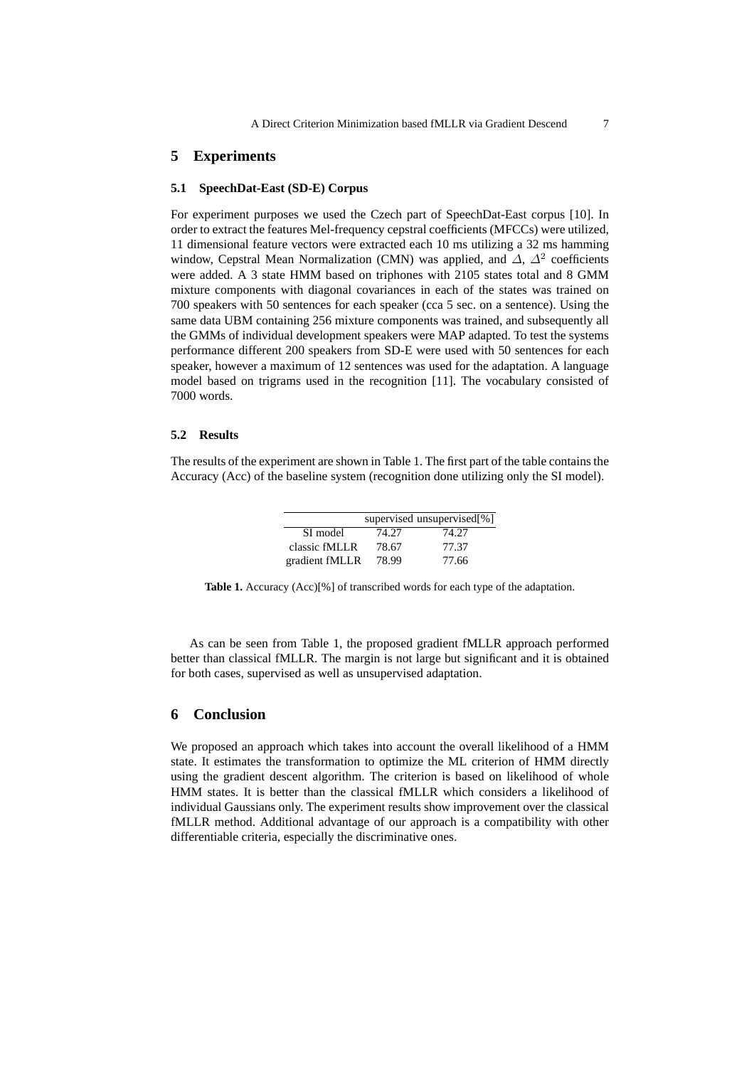## **5 Experiments**

#### **5.1 SpeechDat-East (SD-E) Corpus**

For experiment purposes we used the Czech part of SpeechDat-East corpus [10]. In order to extract the features Mel-frequency cepstral coefficients (MFCCs) were utilized, 11 dimensional feature vectors were extracted each 10 ms utilizing a 32 ms hamming window, Cepstral Mean Normalization (CMN) was applied, and  $\Delta$ ,  $\Delta^2$  coefficients were added. A 3 state HMM based on triphones with 2105 states total and 8 GMM mixture components with diagonal covariances in each of the states was trained on 700 speakers with 50 sentences for each speaker (cca 5 sec. on a sentence). Using the same data UBM containing 256 mixture components was trained, and subsequently all the GMMs of individual development speakers were MAP adapted. To test the systems performance different 200 speakers from SD-E were used with 50 sentences for each speaker, however a maximum of 12 sentences was used for the adaptation. A language model based on trigrams used in the recognition [11]. The vocabulary consisted of 7000 words.

#### **5.2 Results**

The results of the experiment are shown in Table 1. The first part of the table contains the Accuracy (Acc) of the baseline system (recognition done utilizing only the SI model).

|                | supervised unsupervised [%] |       |
|----------------|-----------------------------|-------|
| SI model       | 74.27                       | 74.27 |
| classic fMLLR  | 78.67                       | 77.37 |
| gradient fMLLR | 78.99                       | 77.66 |

**Table 1.** Accuracy (Acc)[%] of transcribed words for each type of the adaptation.

As can be seen from Table 1, the proposed gradient fMLLR approach performed better than classical fMLLR. The margin is not large but significant and it is obtained for both cases, supervised as well as unsupervised adaptation.

# **6 Conclusion**

We proposed an approach which takes into account the overall likelihood of a HMM state. It estimates the transformation to optimize the ML criterion of HMM directly using the gradient descent algorithm. The criterion is based on likelihood of whole HMM states. It is better than the classical fMLLR which considers a likelihood of individual Gaussians only. The experiment results show improvement over the classical fMLLR method. Additional advantage of our approach is a compatibility with other differentiable criteria, especially the discriminative ones.